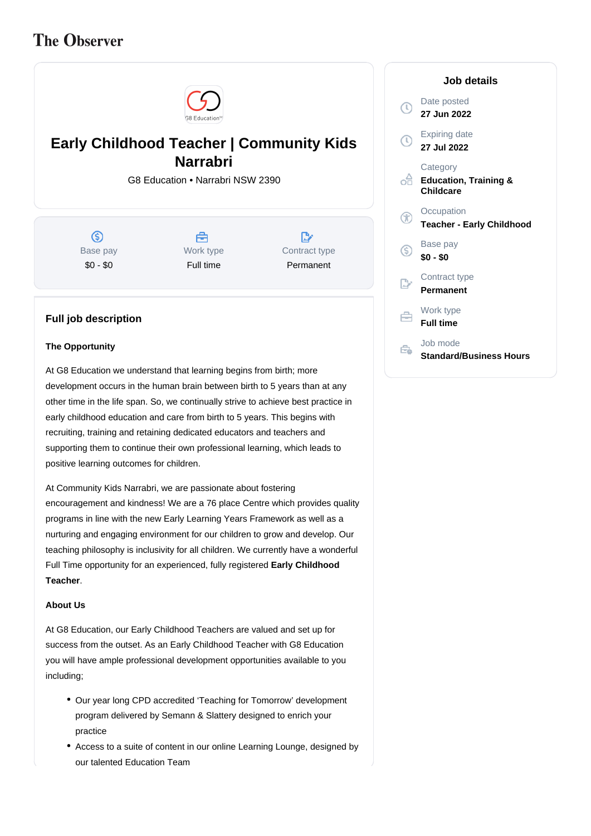# **The Observer**



# **Early Childhood Teacher | Community Kids Narrabri**

G8 Education • Narrabri NSW 2390

 $\circledS$ Base pay \$0 - \$0



 $\mathbb{R}^*$ Contract type Permanent

### **Full job description**

#### **The Opportunity**

At G8 Education we understand that learning begins from birth; more development occurs in the human brain between birth to 5 years than at any other time in the life span. So, we continually strive to achieve best practice in early childhood education and care from birth to 5 years. This begins with recruiting, training and retaining dedicated educators and teachers and supporting them to continue their own professional learning, which leads to positive learning outcomes for children.

At Community Kids Narrabri, we are passionate about fostering encouragement and kindness! We are a 76 place Centre which provides quality programs in line with the new Early Learning Years Framework as well as a nurturing and engaging environment for our children to grow and develop. Our teaching philosophy is inclusivity for all children. We currently have a wonderful Full Time opportunity for an experienced, fully registered **Early Childhood**  . **Teacher**

#### **About Us**

At G8 Education, our Early Childhood Teachers are valued and set up for success from the outset. As an Early Childhood Teacher with G8 Education you will have ample professional development opportunities available to you including;

- Our year long CPD accredited 'Teaching for Tomorrow' development program delivered by Semann & Slattery designed to enrich your practice
- Access to a suite of content in our online Learning Lounge, designed by our talented Education Team

|                   | Job details                                                      |
|-------------------|------------------------------------------------------------------|
| J)                | Date posted<br>27 Jun 2022                                       |
| $\left( 0\right)$ | Expiring date<br>27 Jul 2022                                     |
| oà                | Category<br><b>Education, Training &amp;</b><br><b>Childcare</b> |
| X                 | Occupation<br><b>Teacher - Early Childhood</b>                   |
| G                 | Base pay<br>\$0 - \$0                                            |
|                   | Contract type<br>Permanent                                       |
| ≘                 | Work type<br><b>Full time</b>                                    |
|                   | Job mode<br><b>Standard/Business Hours</b>                       |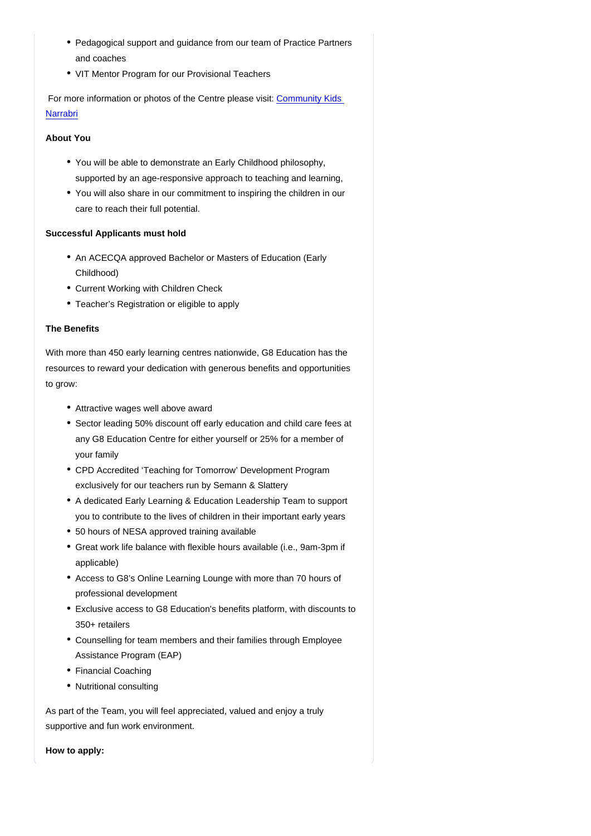- Pedagogical support and guidance from our team of Practice Partners and coaches
- VIT Mentor Program for our Provisional Teachers

 For more information or photos of the Centre please visit: [Community Kids](https://www.communitykids.com.au/childcare-narrabri)  **[Narrabri](https://www.communitykids.com.au/childcare-narrabri)** 

About You

- You will be able to demonstrate an Early Childhood philosophy, supported by an age-responsive approach to teaching and learning,
- You will also share in our commitment to inspiring the children in our care to reach their full potential.

Successful Applicants must hold

- An ACECQA approved Bachelor or Masters of Education (Early Childhood)
- Current Working with Children Check
- Teacher's Registration or eligible to apply

### The Benefits

With more than 450 early learning centres nationwide, G8 Education has the resources to reward your dedication with generous benefits and opportunities to grow:

- Attractive wages well above award
- Sector leading 50% discount off early education and child care fees at any G8 Education Centre for either yourself or 25% for a member of your family
- CPD Accredited 'Teaching for Tomorrow' Development Program exclusively for our teachers run by Semann & Slattery
- A dedicated Early Learning & Education Leadership Team to support you to contribute to the lives of children in their important early years
- 50 hours of NESA approved training available
- Great work life balance with flexible hours available (i.e., 9am-3pm if applicable)
- Access to G8's Online Learning Lounge with more than 70 hours of professional development
- Exclusive access to G8 Education's benefits platform, with discounts to 350+ retailers
- Counselling for team members and their families through Employee Assistance Program (EAP)
- Financial Coaching
- Nutritional consulting

As part of the Team, you will feel appreciated, valued and enjoy a truly supportive and fun work environment.

How to apply: